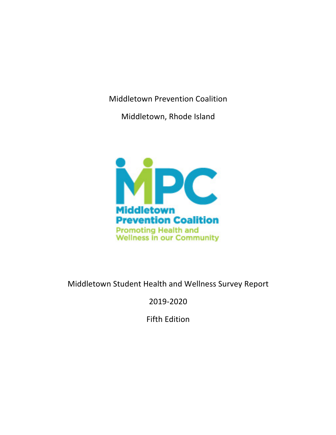Middletown Prevention Coalition

Middletown, Rhode Island



# Middletown Student Health and Wellness Survey Report

2019-2020

Fifth Edition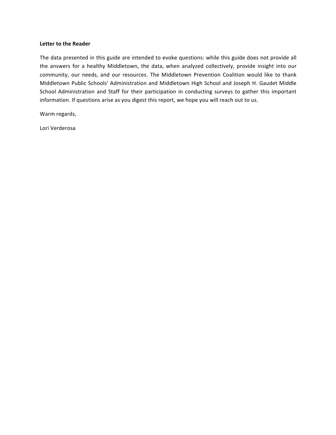#### Letter to the Reader

The data presented in this guide are intended to evoke questions: while this guide does not provide all the answers for a healthy Middletown, the data, when analyzed collectively, provide insight into our community, our needs, and our resources. The Middletown Prevention Coalition would like to thank Middletown Public Schools' Administration and Middletown High School and Joseph H. Gaudet Middle School Administration and Staff for their participation in conducting surveys to gather this important information. If questions arise as you digest this report, we hope you will reach out to us.

Warm regards, 

Lori Verderosa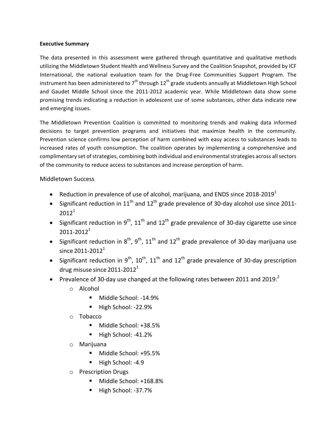### **Executive Summary**

The data presented in this assessment were gathered through quantitative and qualitative methods utilizing the Middletown Student Health and Wellness Survey and the Coalition Snapshot, provided by ICF International, the national evaluation team for the Drug-Free Communities Support Program. The instrument has been administered to  $7<sup>th</sup>$  through 12<sup>th</sup> grade students annually at Middletown High School and Gaudet Middle School since the 2011-2012 academic year. While Middletown data show some promising trends indicating a reduction in adolescent use of some substances, other data indicate new and emerging issues.

The Middletown Prevention Coalition is committed to monitoring trends and making data informed decisions to target prevention programs and initiatives that maximize health in the community. Prevention science confirms low perception of harm combined with easy access to substances leads to increased rates of youth consumption. The coalition operates by implementing a comprehensive and complimentary set of strategies, combining both individual and environmental strategies across all sectors of the community to reduce access to substances and increase perception of harm.

### Middletown Success

- Reduction in prevalence of use of alcohol, marijuana, and ENDS since 2018-2019<sup>1</sup>
- Significant reduction in  $11^{th}$  and  $12^{th}$  grade prevalence of 30-day alcohol use since 2011- $2012^1$
- Significant reduction in 9<sup>th</sup>, 11<sup>th</sup> and 12<sup>th</sup> grade prevalence of 30-day cigarette use since  $2011 - 2012<sup>1</sup>$
- Significant reduction in  $8^{th}$ ,  $9^{th}$ ,  $11^{th}$  and  $12^{th}$  grade prevalence of 30-day marijuana use since  $2011 - 2012<sup>1</sup>$
- Significant reduction in 9<sup>th</sup>, 10<sup>th</sup>, 11<sup>th</sup> and 12<sup>th</sup> grade prevalence of 30-day prescription drug misuse since 2011-2012 $^1$
- Prevalence of 30-day use changed at the following rates between 2011 and 2019:
	- o Alcohol
		- Middle School: -14.9%
		- High School: -22.9%
	- o Tobacco
		- Middle School: +38.5%
		- High School: -41.2%
	- o Marijuana
		- Middle School: +95.5%
		- High School: -4.9
	- o Prescription Drugs
		- Middle School: +168.8%
		- High School: -37.7%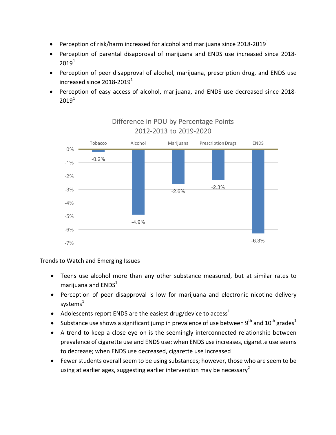- Perception of risk/harm increased for alcohol and marijuana since  $2018-2019<sup>1</sup>$
- Perception of parental disapproval of marijuana and ENDS use increased since 2018- $2019<sup>1</sup>$
- Perception of peer disapproval of alcohol, marijuana, prescription drug, and ENDS use increased since  $2018-2019^1$
- Perception of easy access of alcohol, marijuana, and ENDS use decreased since 2018- $2019<sup>1</sup>$



## Difference in POU by Percentage Points 2012-2013 to 2019-2020

Trends to Watch and Emerging Issues

- Teens use alcohol more than any other substance measured, but at similar rates to marijuana and  $ENDS<sup>1</sup>$
- Perception of peer disapproval is low for marijuana and electronic nicotine delivery systems $<sup>1</sup>$ </sup>
- Adolescents report ENDS are the easiest drug/device to access<sup>1</sup>
- Substance use shows a significant jump in prevalence of use between 9<sup>th</sup> and 10<sup>th</sup> grades<sup>1</sup>
- A trend to keep a close eye on is the seemingly interconnected relationship between prevalence of cigarette use and ENDS use: when ENDS use increases, cigarette use seems to decrease; when ENDS use decreased, cigarette use increased  $1$
- Fewer students overall seem to be using substances; however, those who are seem to be using at earlier ages, suggesting earlier intervention may be necessary<sup>2</sup>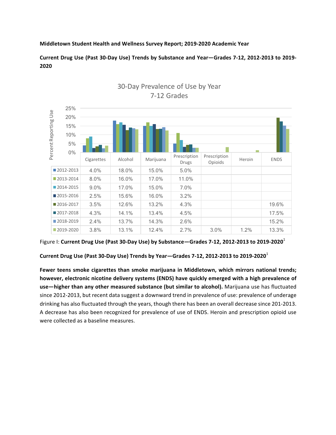### **Middletown Student Health and Wellness Survey Report; 2019-2020 Academic Year**

**Current Drug Use (Past 30-Day Use) Trends by Substance and Year—Grades 7-12, 2012-2013 to 2019- 2020**



30-Day Prevalence of Use by Year 7-12 Grades

Current Drug Use (Past 30-Day Use) Trends by Year–Grades 7-12, 2012-2013 to 2019-2020<sup>1</sup>

Fewer teens smoke cigarettes than smoke marijuana in Middletown, which mirrors national trends; however, electronic nicotine delivery systems (ENDS) have quickly emerged with a high prevalence of use—higher than any other measured substance (but similar to alcohol). Marijuana use has fluctuated since 2012-2013, but recent data suggest a downward trend in prevalence of use: prevalence of underage drinking has also fluctuated through the years, though there has been an overall decrease since 201-2013. A decrease has also been recognized for prevalence of use of ENDS. Heroin and prescription opioid use were collected as a baseline measures.

Figure I: Current Drug Use (Past 30-Day Use) by Substance—Grades 7-12, 2012-2013 to 2019-2020<sup>1</sup>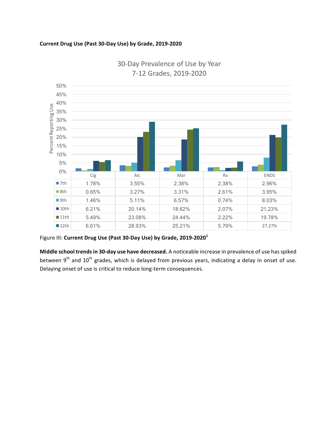### **Current Drug Use (Past 30-Day Use) by Grade, 2019-2020**



30-Day Prevalence of Use by Year 7-12 Grades, 2019-2020

Figure III: Current Drug Use (Past 30-Day Use) by Grade, 2019-2020<sup>1</sup>

**Middle school trends in 30-day use have decreased.** A noticeable increase in prevalence of use has spiked between  $9<sup>th</sup>$  and  $10<sup>th</sup>$  grades, which is delayed from previous years, indicating a delay in onset of use. Delaying onset of use is critical to reduce long-term consequences.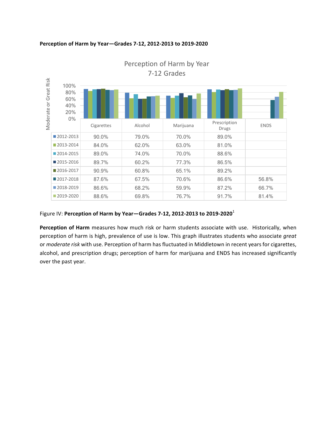### **Perception of Harm by Year—Grades 7-12, 2012-2013 to 2019-2020**



Perception of Harm by Year 7-12 Grades

### Figure IV: Perception of Harm by Year-Grades 7-12, 2012-2013 to 2019-2020<sup>1</sup>

**Perception of Harm** measures how much risk or harm students associate with use. Historically, when perception of harm is high, prevalence of use is low. This graph illustrates students who associate great or *moderate risk* with use. Perception of harm has fluctuated in Middletown in recent years for cigarettes, alcohol, and prescription drugs; perception of harm for marijuana and ENDS has increased significantly over the past year.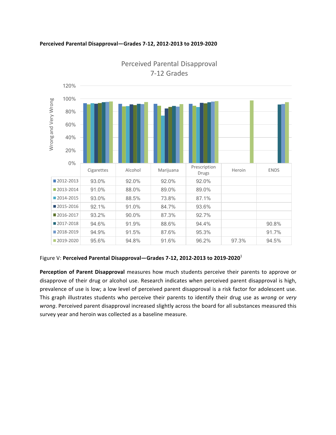

#### Perceived Parental Disapproval-Grades 7-12, 2012-2013 to 2019-2020

Perceived Parental Disapproval 7-12 Grades

### Figure V: Perceived Parental Disapproval–Grades 7-12, 2012-2013 to 2019-2020<sup>1</sup>

Perception of Parent Disapproval measures how much students perceive their parents to approve or disapprove of their drug or alcohol use. Research indicates when perceived parent disapproval is high, prevalence of use is low; a low level of perceived parent disapproval is a risk factor for adolescent use. This graph illustrates students who perceive their parents to identify their drug use as *wrong* or *very* wrong. Perceived parent disapproval increased slightly across the board for all substances measured this survey year and heroin was collected as a baseline measure.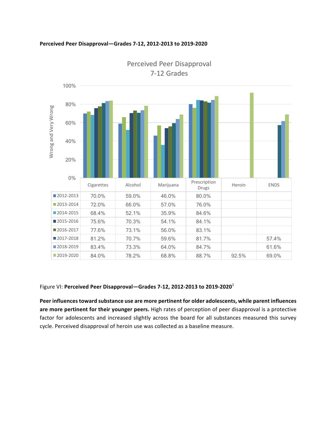

### **Perceived Peer Disapproval—Grades 7-12, 2012-2013 to 2019-2020**

Perceived Peer Disapproval 7-12 Grades

### Figure VI: Perceived Peer Disapproval–Grades 7-12, 2012-2013 to 2019-2020<sup>1</sup>

Peer influences toward substance use are more pertinent for older adolescents, while parent influences are more pertinent for their younger peers. High rates of perception of peer disapproval is a protective factor for adolescents and increased slightly across the board for all substances measured this survey cycle. Perceived disapproval of heroin use was collected as a baseline measure.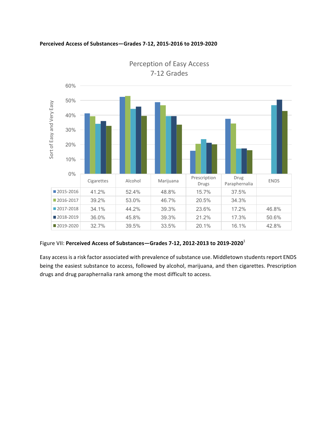



Perception of Easy Access 7-12 Grades

### Figure VII: Perceived Access of Substances-Grades 7-12, 2012-2013 to 2019-2020<sup>1</sup>

Easy access is a risk factor associated with prevalence of substance use. Middletown students report ENDS being the easiest substance to access, followed by alcohol, marijuana, and then cigarettes. Prescription drugs and drug paraphernalia rank among the most difficult to access.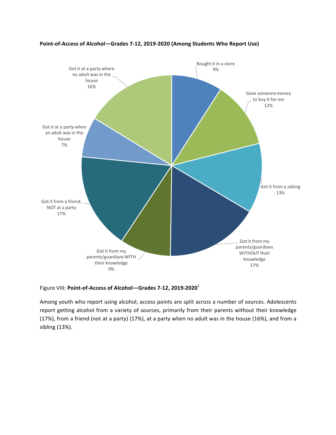

### Point-of-Access of Alcohol-Grades 7-12, 2019-2020 (Among Students Who Report Use)

### Figure VIII: Point-of-Access of Alcohol-Grades 7-12, 2019-2020<sup>1</sup>

Among youth who report using alcohol, access points are split across a number of sources. Adolescents report getting alcohol from a variety of sources, primarily from their parents without their knowledge (17%), from a friend (not at a party) (17%), at a party when no adult was in the house (16%), and from a sibling (13%).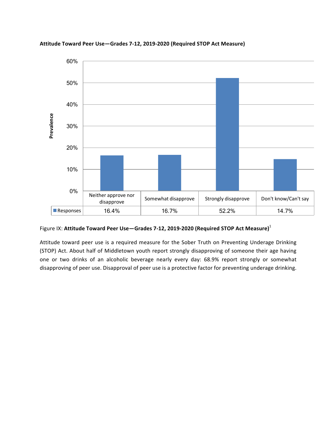

**Attitude Toward Peer Use—Grades 7-12, 2019-2020 (Required STOP Act Measure)**

### Figure IX: Attitude Toward Peer Use-Grades 7-12, 2019-2020 (Required STOP Act Measure)<sup>1</sup>

Attitude toward peer use is a required measure for the Sober Truth on Preventing Underage Drinking (STOP) Act. About half of Middletown youth report strongly disapproving of someone their age having one or two drinks of an alcoholic beverage nearly every day: 68.9% report strongly or somewhat disapproving of peer use. Disapproval of peer use is a protective factor for preventing underage drinking.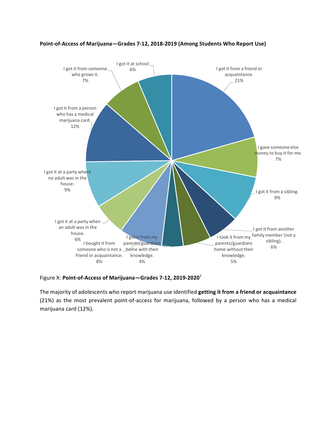

### Point-of-Access of Marijuana-Grades 7-12, 2018-2019 (Among Students Who Report Use)

Figure X: Point-of-Access of Marijuana-Grades 7-12, 2019-2020<sup>1</sup>

The majority of adolescents who report marijuana use identified **getting it from a friend or acquaintance** (21%) as the most prevalent point-of-access for marijuana, followed by a person who has a medical marijuana card (12%).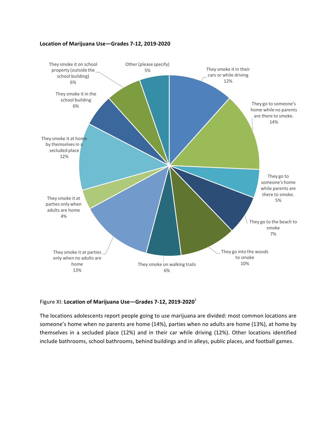### Location of Marijuana Use-Grades 7-12, 2019-2020



#### Figure XI: Location of Marijuana Use-Grades 7-12, 2019-2020<sup>1</sup>

The locations adolescents report people going to use marijuana are divided: most common locations are someone's home when no parents are home (14%), parties when no adults are home (13%), at home by themselves in a secluded place (12%) and in their car while driving (12%). Other locations identified include bathrooms, school bathrooms, behind buildings and in alleys, public places, and football games.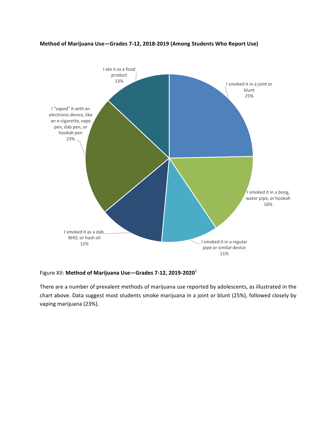### Method of Marijuana Use-Grades 7-12, 2018-2019 (Among Students Who Report Use)



Figure XII: Method of Marijuana Use-Grades 7-12, 2019-2020<sup>1</sup>

There are a number of prevalent methods of marijuana use reported by adolescents, as illustrated in the chart above. Data suggest most students smoke marijuana in a joint or blunt (25%), followed closely by vaping marijuana (23%).